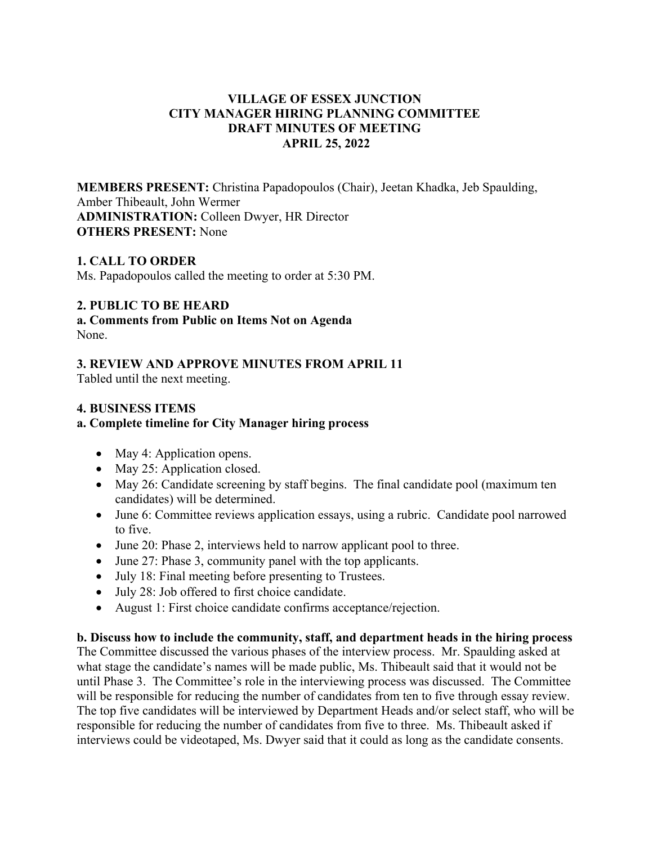# **VILLAGE OF ESSEX JUNCTION CITY MANAGER HIRING PLANNING COMMITTEE DRAFT MINUTES OF MEETING APRIL 25, 2022**

**MEMBERS PRESENT:** Christina Papadopoulos (Chair), Jeetan Khadka, Jeb Spaulding, Amber Thibeault, John Wermer **ADMINISTRATION:** Colleen Dwyer, HR Director **OTHERS PRESENT:** None

# **1. CALL TO ORDER**

Ms. Papadopoulos called the meeting to order at 5:30 PM.

### **2. PUBLIC TO BE HEARD**

**a. Comments from Public on Items Not on Agenda**  None.

### **3. REVIEW AND APPROVE MINUTES FROM APRIL 11**

Tabled until the next meeting.

### **4. BUSINESS ITEMS**

### **a. Complete timeline for City Manager hiring process**

- May 4: Application opens.
- May 25: Application closed.
- May 26: Candidate screening by staff begins. The final candidate pool (maximum ten candidates) will be determined.
- June 6: Committee reviews application essays, using a rubric. Candidate pool narrowed to five.
- June 20: Phase 2, interviews held to narrow applicant pool to three.
- June 27: Phase 3, community panel with the top applicants.
- July 18: Final meeting before presenting to Trustees.
- July 28: Job offered to first choice candidate.
- August 1: First choice candidate confirms acceptance/rejection.

**b. Discuss how to include the community, staff, and department heads in the hiring process**  The Committee discussed the various phases of the interview process. Mr. Spaulding asked at what stage the candidate's names will be made public, Ms. Thibeault said that it would not be until Phase 3. The Committee's role in the interviewing process was discussed. The Committee will be responsible for reducing the number of candidates from ten to five through essay review. The top five candidates will be interviewed by Department Heads and/or select staff, who will be responsible for reducing the number of candidates from five to three. Ms. Thibeault asked if interviews could be videotaped, Ms. Dwyer said that it could as long as the candidate consents.